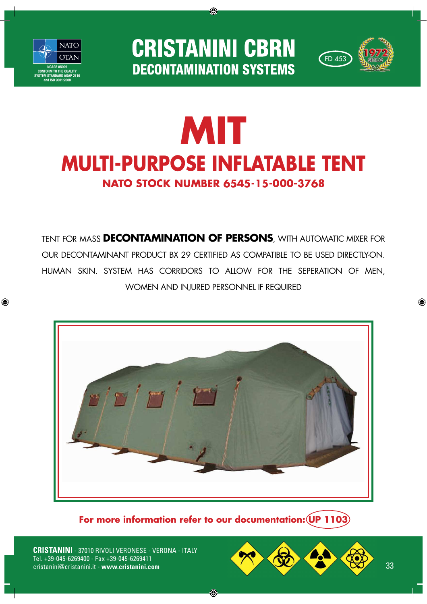

◈

**CRISTANINI CBRN DECONTAMINATION SYSTEMS** 

◈



## **MIT MULTI-PURPOSE INFLATABLE TENTNATO STOCK NUMBER 6545-15-000-3768**

TENT FOR MASS **DECONTAMINATION OF PERSONS**, WITH AUTOMATIC MIXER FOR OUR DECONTAMINANT PRODUCT BX 29 CERTIFIED AS COMPATIBLE TO BE USED DIRECTLY-ON. HUMAN SKIN. SYSTEM HAS CORRIDORS TO ALLOW FOR THE SEPERATION OF MEN, WOMEN AND INJURED PERSONNEL IF REQUIRED



**For more information refer to our documentation: UP 1103**

◈

**CRISTANINI** - 37010 RIVOLI VERONESE - VERONA - ITALY Tel. +39-045-6269400 - Fax +39-045-6269411



◈